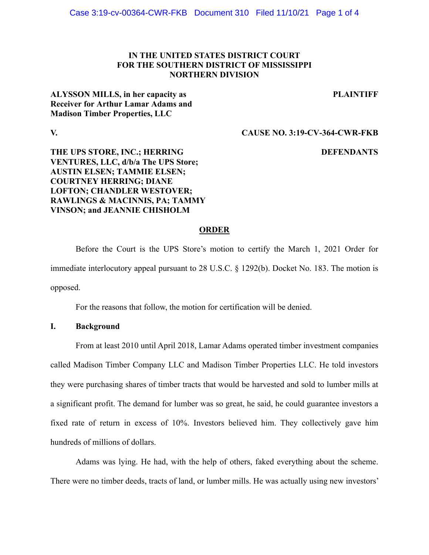# **IN THE UNITED STATES DISTRICT COURT FOR THE SOUTHERN DISTRICT OF MISSISSIPPI NORTHERN DIVISION**

#### **PLAINTIFF**

**ALYSSON MILLS, in her capacity as Receiver for Arthur Lamar Adams and Madison Timber Properties, LLC** 

**V. CAUSE NO. 3:19-CV-364-CWR-FKB** 

# **DEFENDANTS**

**THE UPS STORE, INC.; HERRING VENTURES, LLC, d/b/a The UPS Store; AUSTIN ELSEN; TAMMIE ELSEN; COURTNEY HERRING; DIANE LOFTON; CHANDLER WESTOVER; RAWLINGS & MACINNIS, PA; TAMMY VINSON; and JEANNIE CHISHOLM** 

#### **ORDER**

 Before the Court is the UPS Store's motion to certify the March 1, 2021 Order for immediate interlocutory appeal pursuant to 28 U.S.C. § 1292(b). Docket No. 183. The motion is opposed.

For the reasons that follow, the motion for certification will be denied.

#### **I. Background**

 From at least 2010 until April 2018, Lamar Adams operated timber investment companies called Madison Timber Company LLC and Madison Timber Properties LLC. He told investors they were purchasing shares of timber tracts that would be harvested and sold to lumber mills at a significant profit. The demand for lumber was so great, he said, he could guarantee investors a fixed rate of return in excess of 10%. Investors believed him. They collectively gave him hundreds of millions of dollars.

Adams was lying. He had, with the help of others, faked everything about the scheme. There were no timber deeds, tracts of land, or lumber mills. He was actually using new investors'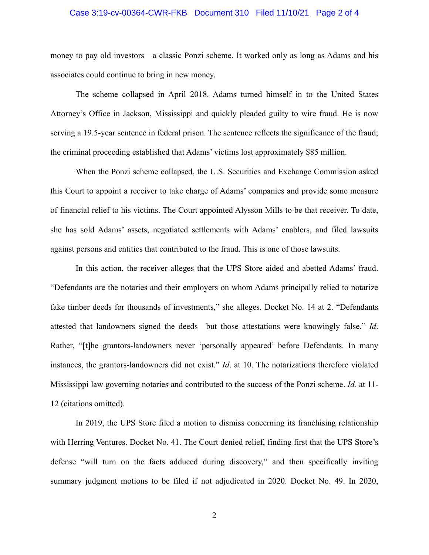### Case 3:19-cv-00364-CWR-FKB Document 310 Filed 11/10/21 Page 2 of 4

money to pay old investors—a classic Ponzi scheme. It worked only as long as Adams and his associates could continue to bring in new money.

The scheme collapsed in April 2018. Adams turned himself in to the United States Attorney's Office in Jackson, Mississippi and quickly pleaded guilty to wire fraud. He is now serving a 19.5-year sentence in federal prison. The sentence reflects the significance of the fraud; the criminal proceeding established that Adams' victims lost approximately \$85 million.

When the Ponzi scheme collapsed, the U.S. Securities and Exchange Commission asked this Court to appoint a receiver to take charge of Adams' companies and provide some measure of financial relief to his victims. The Court appointed Alysson Mills to be that receiver. To date, she has sold Adams' assets, negotiated settlements with Adams' enablers, and filed lawsuits against persons and entities that contributed to the fraud. This is one of those lawsuits.

In this action, the receiver alleges that the UPS Store aided and abetted Adams' fraud. "Defendants are the notaries and their employers on whom Adams principally relied to notarize fake timber deeds for thousands of investments," she alleges. Docket No. 14 at 2. "Defendants attested that landowners signed the deeds—but those attestations were knowingly false." *Id*. Rather, "[t]he grantors-landowners never 'personally appeared' before Defendants. In many instances, the grantors-landowners did not exist." *Id*. at 10. The notarizations therefore violated Mississippi law governing notaries and contributed to the success of the Ponzi scheme. *Id.* at 11- 12 (citations omitted).

In 2019, the UPS Store filed a motion to dismiss concerning its franchising relationship with Herring Ventures. Docket No. 41. The Court denied relief, finding first that the UPS Store's defense "will turn on the facts adduced during discovery," and then specifically inviting summary judgment motions to be filed if not adjudicated in 2020. Docket No. 49. In 2020,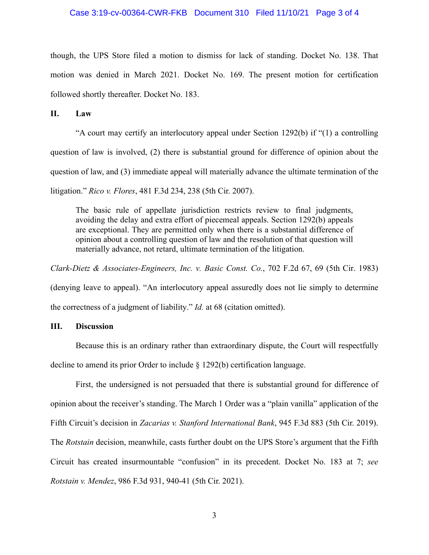# Case 3:19-cv-00364-CWR-FKB Document 310 Filed 11/10/21 Page 3 of 4

though, the UPS Store filed a motion to dismiss for lack of standing. Docket No. 138. That motion was denied in March 2021. Docket No. 169. The present motion for certification followed shortly thereafter. Docket No. 183.

# **II. Law**

"A court may certify an interlocutory appeal under Section 1292(b) if "(1) a controlling question of law is involved, (2) there is substantial ground for difference of opinion about the question of law, and (3) immediate appeal will materially advance the ultimate termination of the litigation." *Rico v. Flores*, 481 F.3d 234, 238 (5th Cir. 2007).

The basic rule of appellate jurisdiction restricts review to final judgments, avoiding the delay and extra effort of piecemeal appeals. Section 1292(b) appeals are exceptional. They are permitted only when there is a substantial difference of opinion about a controlling question of law and the resolution of that question will materially advance, not retard, ultimate termination of the litigation.

*Clark-Dietz & Associates-Engineers, Inc. v. Basic Const. Co.*, 702 F.2d 67, 69 (5th Cir. 1983) (denying leave to appeal). "An interlocutory appeal assuredly does not lie simply to determine

the correctness of a judgment of liability." *Id.* at 68 (citation omitted).

# **III. Discussion**

 Because this is an ordinary rather than extraordinary dispute, the Court will respectfully decline to amend its prior Order to include § 1292(b) certification language.

 First, the undersigned is not persuaded that there is substantial ground for difference of opinion about the receiver's standing. The March 1 Order was a "plain vanilla" application of the Fifth Circuit's decision in *Zacarias v. Stanford International Bank*, 945 F.3d 883 (5th Cir. 2019). The *Rotstain* decision, meanwhile, casts further doubt on the UPS Store's argument that the Fifth Circuit has created insurmountable "confusion" in its precedent. Docket No. 183 at 7; *see Rotstain v. Mendez*, 986 F.3d 931, 940-41 (5th Cir. 2021).